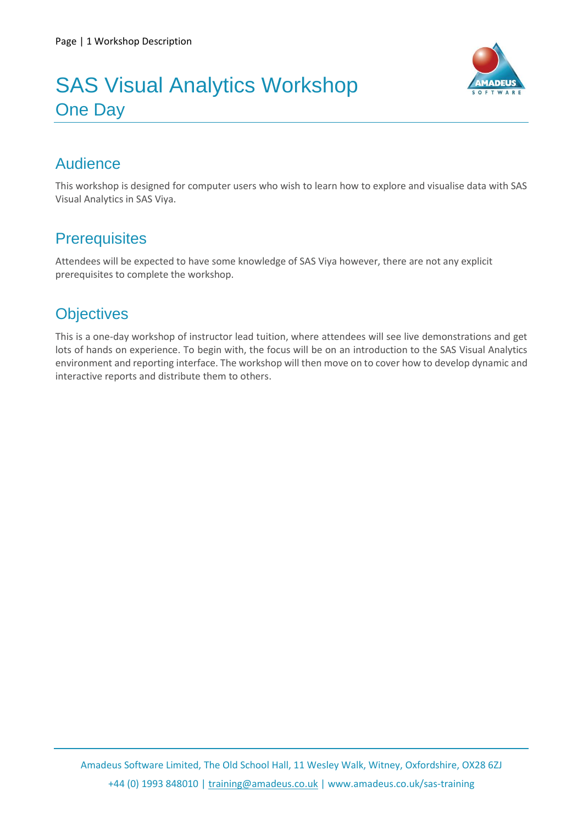

## SAS Visual Analytics Workshop One Day

## Audience

This workshop is designed for computer users who wish to learn how to explore and visualise data with SAS Visual Analytics in SAS Viya.

## **Prerequisites**

Attendees will be expected to have some knowledge of SAS Viya however, there are not any explicit prerequisites to complete the workshop.

## **Objectives**

This is a one-day workshop of instructor lead tuition, where attendees will see live demonstrations and get lots of hands on experience. To begin with, the focus will be on an introduction to the SAS Visual Analytics environment and reporting interface. The workshop will then move on to cover how to develop dynamic and interactive reports and distribute them to others.